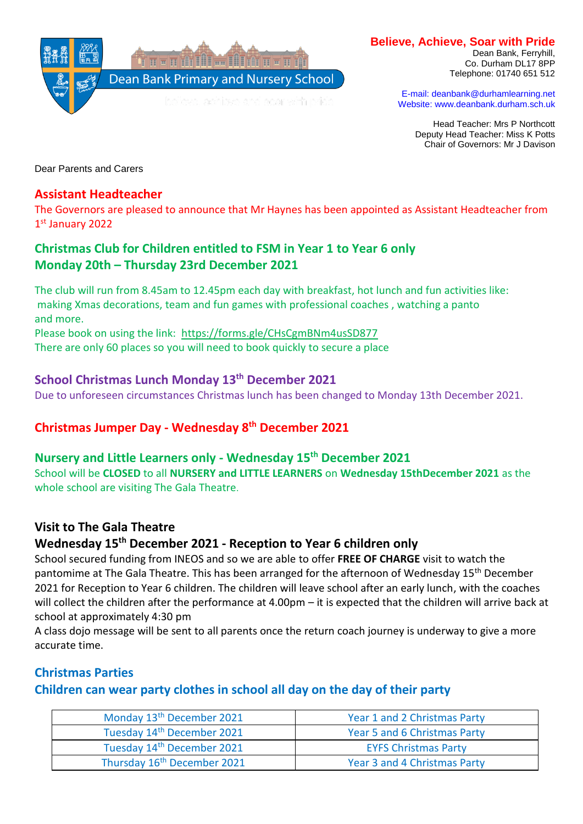

#### **Believe, Achieve, Soar with Pride**

Dean Bank, Ferryhill, Co. Durham DL17 8PP Telephone: 01740 651 512

E-mail: deanbank@durhamlearning.net Website: www.deanbank.durham.sch.uk

Head Teacher: Mrs P Northcott Deputy Head Teacher: Miss K Potts Chair of Governors: Mr J Davison

Dear Parents and Carers

#### **Assistant Headteacher**

The Governors are pleased to announce that Mr Haynes has been appointed as Assistant Headteacher from 1 st January 2022

## **Christmas Club for Children entitled to FSM in Year 1 to Year 6 only Monday 20th – Thursday 23rd December 2021**

The club will run from 8.45am to 12.45pm each day with breakfast, hot lunch and fun activities like: making Xmas decorations, team and fun games with professional coaches , watching a panto and more.

Please book on using the link: <https://forms.gle/CHsCgmBNm4usSD877> There are only 60 places so you will need to book quickly to secure a place

# **School Christmas Lunch Monday 13th December 2021**

Due to unforeseen circumstances Christmas lunch has been changed to Monday 13th December 2021.

### **Christmas Jumper Day - Wednesday 8th December 2021**

#### **Nursery and Little Learners only - Wednesday 15th December 2021**

School will be **CLOSED** to all **NURSERY and LITTLE LEARNERS** on **Wednesday 15thDecember 2021** as the whole school are visiting The Gala Theatre.

### **Visit to The Gala Theatre**

## **Wednesday 15th December 2021 - Reception to Year 6 children only**

School secured funding from INEOS and so we are able to offer **FREE OF CHARGE** visit to watch the pantomime at The Gala Theatre. This has been arranged for the afternoon of Wednesday 15<sup>th</sup> December 2021 for Reception to Year 6 children. The children will leave school after an early lunch, with the coaches will collect the children after the performance at 4.00pm – it is expected that the children will arrive back at school at approximately 4:30 pm

A class dojo message will be sent to all parents once the return coach journey is underway to give a more accurate time.

### **Christmas Parties**

### **Children can wear party clothes in school all day on the day of their party**

| Monday 13 <sup>th</sup> December 2021   | Year 1 and 2 Christmas Party |
|-----------------------------------------|------------------------------|
| Tuesday 14th December 2021              | Year 5 and 6 Christmas Party |
| Tuesday 14th December 2021              | <b>EYFS Christmas Party</b>  |
| Thursday 16 <sup>th</sup> December 2021 | Year 3 and 4 Christmas Party |